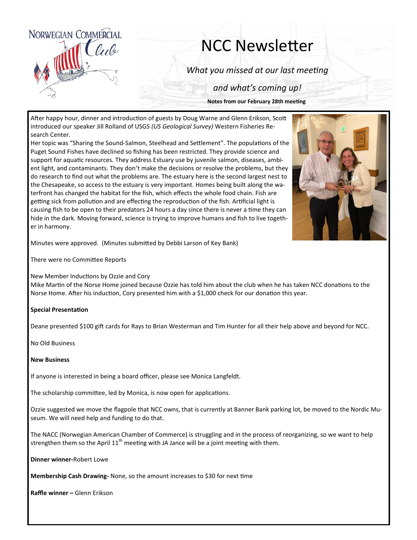

## NCC Newsletter

*What you missed at our last meeting*

*and what's coming up!*

**Notes from our February 28th meeting**

After happy hour, dinner and introduction of guests by Doug Warne and Glenn Erikson, Scott introduced our speaker Jill Rolland of USGS *(US Geological Survey)* Western Fisheries Research Center.

Her topic was "Sharing the Sound-Salmon, Steelhead and Settlement". The populations of the Puget Sound Fishes have declined so fishing has been restricted. They provide science and support for aquatic resources. They address Estuary use by juvenile salmon, diseases, ambient light, and contaminants. They don't make the decisions or resolve the problems, but they do research to find out what the problems are. The estuary here is the second largest nest to the Chesapeake, so access to the estuary is very important. Homes being built along the waterfront has changed the habitat for the fish, which effects the whole food chain. Fish are getting sick from pollution and are effecting the reproduction of the fish. Artificial light is causing fish to be open to their predators 24 hours a day since there is never a time they can hide in the dark. Moving forward, science is trying to improve humans and fish to live together in harmony.



Minutes were approved. (Minutes submitted by Debbi Larson of Key Bank)

There were no Committee Reports

New Member Inductions by Ozzie and Cory

Mike Martin of the Norse Home joined because Ozzie has told him about the club when he has taken NCC donations to the Norse Home. After his induction, Cory presented him with a \$1,000 check for our donation this year.

## **Special Presentation**

Deane presented \$100 gift cards for Rays to Brian Westerman and Tim Hunter for all their help above and beyond for NCC.

No Old Business

## **New Business**

If anyone is interested in being a board officer, please see Monica Langfeldt.

The scholarship committee, led by Monica, is now open for applications.

Ozzie suggested we move the flagpole that NCC owns, that is currently at Banner Bank parking lot, be moved to the Nordic Museum. We will need help and funding to do that.

The NACC (Norwegian American Chamber of Commerce) is struggling and in the process of reorganizing, so we want to help strengthen them so the April  $11<sup>th</sup>$  meeting with JA Jance will be a joint meeting with them.

**Dinner winner-**Robert Lowe

**Membership Cash Drawing-** None, so the amount increases to \$30 for next time

**Raffle winner –** Glenn Erikson